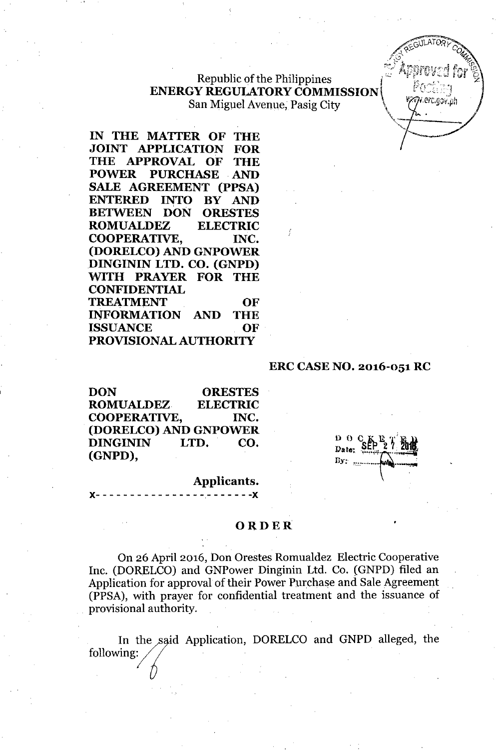# $i$  **Republic of the Philippines ENERGY REGULATORY COMMISSION EXECUTED**<br>San Miguel Avenue Pasig City San Miguel Avenue, Pasig City **1998** (*i*, *i, <sup>w</sup> i,erc.gov.pl*

( ..

**IN THE MATTER OF THE JOINT APPLICATION FOR THE APPROVAL OF THE POWER PURCHASE AND SALE AGREEMENT (PPSA) ENTERED INTO BY AND BETWEEN DON ORESTES ROMUALDEZ ELECTRIC COOPERATIVE, INC. (DORELCO) AND GNPOWER DINGININ LTD. CO. (GNPD)** ~TH **PRAYER FOR THE CONFIDENTIAL TREATMENT OF INFORMATION AND THE ISSUANCE OF PROVISIONAL AUTHORITY**

### **ERC CASENO. 2016-051 RC**

**DON ORESTES ROMUALDEZ ELECTRIC COOPERATIVE, INC. (DORELCO) AND GNPOWER DINGININ LTD. CO. (GNPD),**

**x- - - - - - - - - - - - - - - - - - - - - - -x**

**Applicants.**

#### **ORDER**

On 26 April 2016, Don Orestes Romualdez Electric Cooperative Inc. (DORELCO) and GNPower Dinginin Ltd. Co. (GNPD) filed an Application for approval of their Power Purchase and Sale Agreement (PPSA), with prayer for confidential treatment and the issuance of provisional authority.

In the said Application, In the said Application, 1<br>following: DORELCO and GNPD alleged, the

 $\frac{D}{D_{\text{after}}}$  SEP Date: By:  $m$ 

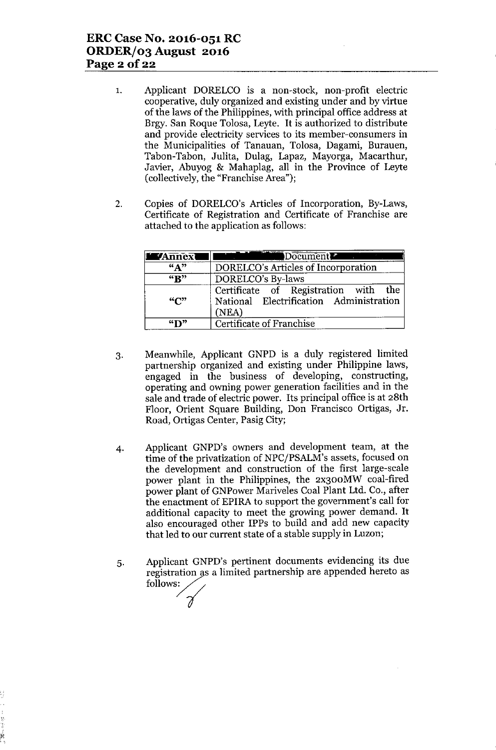- 1. Applicant DORELCO is a non-stock, non-profit electric cooperative, duly organized and existing under and by virtue of the laws of the Philippines, with principal office address at Brgy. San Roque Tolosa, Leyte. It is authorized to distribute and provide electricity services to its member-consumers in the Municipalities of Tanauan, Tolosa, Dagami, Burauen, Tabon-Tabon, Julita, Dulag, Lapaz, Mayorga, Macarthur, Javier, Abuyog & Mahaplag, all in the Province of Leyte (collectively, the "Franchise Area");
- 2. Copies of DORELCO's Articles of Incorporation, By-Laws, Certificate of Registration and Certificate of Franchise are attached to the application as follows:

| <b>MAnnexi</b>            | Document                                                                                 |
|---------------------------|------------------------------------------------------------------------------------------|
| $\frac{1}{2}$             | DORELCO's Articles of Incorporation                                                      |
| $\overline{R}$            | DORELCO's By-laws                                                                        |
| $\mathbf{H}^{\mathbf{m}}$ | Certificate of Registration with the<br>National Electrification Administration<br>(NEA) |
| $\mathbf{F}$              | Certificate of Franchise                                                                 |

- 3. Meanwhile, Applicant GNPD is a duly registered limited partnership organized and existing under Philippine laws, engaged in the business of developing, constructing, operating and owning power generation facilities and in the sale and trade of electric power. Its principal office is at 28th Floor, Orient Square Building, Don Francisco Ortigas, Jr. Road, Ortigas Center, Pasig City;
- 4. Applicant GNPD's owners and development team, at the time of the privatization of NPC/PSALM's assets, focused on the development and construction of the first large-scale power plant in the Philippines, the 2x300MW coal-fired power plant of GNPower Mariveles Coal Plant Ltd. Co., after the enactment of EPIRA to support the government's call for additional capacity to meet the growing power demand. It also encouraged other IPPs to build and add new capacity that led to our current state of a stable supply in Luzon;
- 5. Applicant GNPD's pertinent documents evidencing its due registration as a limited partnership are appended hereto as Applicant GNPI<br>registration as a<br>follows:<br>1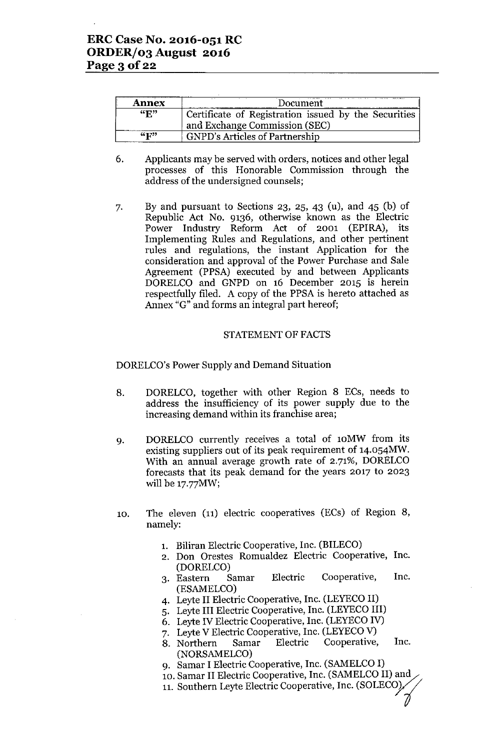| <b>Annex</b>              | Document                                             |
|---------------------------|------------------------------------------------------|
| $\mathbf{G}_{\mathbf{R}}$ | Certificate of Registration issued by the Securities |
|                           | and Exchange Commission (SEC)                        |
| $45$ $F^{33}$             | <b>GNPD's Articles of Partnership</b>                |

- 6. Applicants may be served with orders, notices and other legal processes of this Honorable Commission through the address of the undersigned counsels;
- 7. By and pursuant to Sections 23, 25, 43 (u), and 45 (b) of Republic Act No. 9136, otherwise known as the Electric Power Industry Reform Act of 2001 (EPlRA), its Implementing Rules and Regulations, and other pertinent rules and regulations, the instant Application for the consideration and approval of the Power Purchase and Sale Agreement (PPSA) executed by and between Applicants DORELCO and GNPD on 16 December 2015 is herein respectfully filed. A copy of the PPSA is hereto attached as Annex "G" and forms an integral part hereof;

#### STATEMENT OF FACTS

DORELCO's Power Supply and Demand Situation

- 8. DORELCO, together with other Region 8 ECs, needs to address the insufficiency of its power supply due to the increasing demand within its franchise area;
- 9. DORELCO currently receives a total of lOMW from its existing suppliers out of its peak requirement of 14.054MW. With an annual average growth rate of 2.71%, DORELCO forecasts that its peak demand for the years 2017 to 2023 will be 17.77MW;
- 10. The eleven (11) electric cooperatives (ECs) of Region 8, namely:
	- 1. Biliran Electric Cooperative, Inc. (BILECO)
	- 2. Don Orestes Romualdez Electric Cooperative, Inc. (DORELCO)
	- 3. Eastern Samar Electric Cooperative, Inc. (ESAMELCO)
	- 4. Leyte II Electric Cooperative, Inc. (LEYECO II)
	- 5. Leyte III Electric Cooperative, Inc. (LEYECO III)
	- 6. Leyte IV Electric Cooperative, Inc. (LEYECOIV)
	- 7. Leyte V Electric Cooperative, Inc. (LEYECOV)
	- 8. Northern Samar Electric Cooperative, Inc. (NORSAMELCO)
	- 9. Samar I Electric Cooperative, Inc. (SAMELCO I)
	- 10. Samar II Electric Cooperative, Inc. (SAMELCO II) and

Í

11. Southern Leyte Electric Cooperative, Inc. (SOLECO)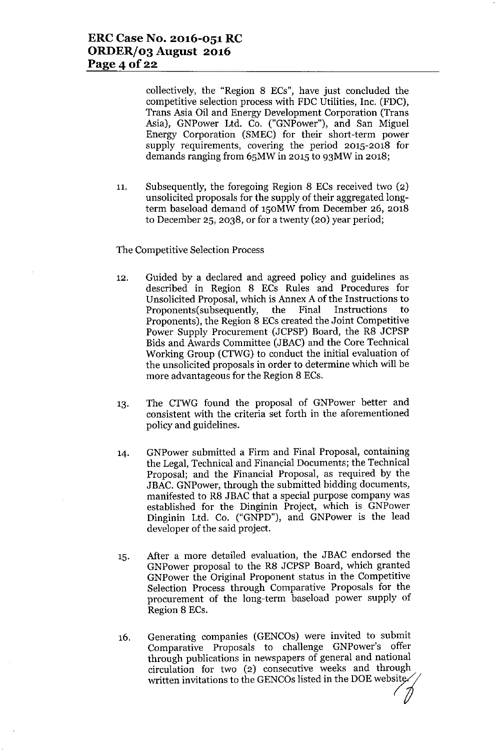collectively, the "Region 8 ECs", have just concluded the competitive selection process with FDC Utilities, Inc. (FDC), Trans Asia Oil and Energy Development Corporation (Trans Asia), GNPower Ltd. Co. ("GNPower"), and San Miguel Energy Corporation (SMEC) for their short-term power supply requirements, covering the period 2015-2018 for demands ranging from 65MW in 2015 to 93MW in 2018;

11. Subsequently, the foregoing Region 8 ECs received two (2) unsolicited proposals for the supply of their aggregated longterm baseload demand of 150MW from December 26, 2018 to December 25,2038, or for a twenty (20) year period;

#### The Competitive Selection Process

- 12. Guided by a declared and agreed policy and guidelines as described in Region 8 ECs Rules and Procedures for Unsolicited Proposal, which is Annex A of the Instructions to Proponents(subsequently, the Final Instructions to Proponents), the Region 8 ECs created the Joint Competitive Power Supply Procurement (JCPSP) Board, the R8 JCPSP Bids and Awards Committee (JBAC) and the Core Technical Working Group (CTWG) to conduct the initial evaluation of the unsolicited proposals in order to determine which will be more advantageous for the Region 8 ECs.
- 13. The CTWG found the proposal of GNPower better and consistent with the criteria set forth in the aforementioned policy and guidelines.
- 14. GNPower submitted a Firm and Final Proposal, containing the Legal, Technical and Financial Documents; the Technical Proposal; and the Financial Proposal, as required by the JBAC. GNPower, through the submitted bidding documents, manifested to R8 JBAC that a special purpose company was established for the Dinginin Project, which is GNPower Dinginin Ltd. Co. ("GNPD"), and GNPower is the lead developer of the said project.
- 15. After a more detailed evaluation, the JBAC endorsed the GNPower proposal to the R8 JCPSP Board, which granted GNPower the Original Proponent status in the Competitive Selection Process through Comparative Proposals for the procurement of the long-term baseload power supply of Region 8 ECs.
- 16. Generating companies (GENCOs) were invited to submit Comparative Proposals to challenge GNPower's offer through publications in newspapers of general and national circulation for two (2) consecutive weeks and through written invitations to the GENCOs listed in the DOE website.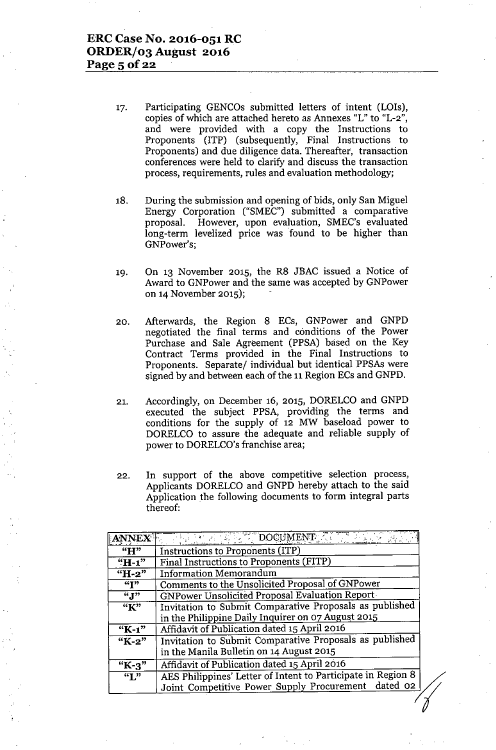- 17. Participating GENCOs submitted letters of intent (LOIs), copies of which are attached hereto as Annexes "L" to "L-2", and were provided with a copy the Instructions to Proponents (ITP) (subsequently, Final Instructions to Proponents) and due diligence data. Thereafter, transaction conferences were held to clarify and discuss the transaction process, requirements, rules and evaluation methodology;
- 18. During the submission and opening of bids, only San Miguel Energy Corporation ("SMEC") submitted a comparative proposal. However, upon evaluation, SMEC's evaluated long-term levelized price was found to be higher than GNPower's;
- 19. On 13 November 2015, the R8 JBAC issued a Notice of Award to GNPower and the same was accepted by GNPower on 14November 2015);
- 20. Afterwards, the Region 8 ECs, GNPower and GNPD negotiated the final terms and conditions of the Power Purchase and Sale Agreement (PPSA) based on the Key Contract Terms provided in the Final Instructions to Proponents. Separate/ individual but identical PPSAs were signed by and between each of the 11 Region ECs and GNPD.
- 21. Accordingly, on December 16, 2015, DORELCO and GNPD executed the subject PPSA, providing the terms and conditions for the supply of 12 MW baseload power to DORELCO to assure the adequate and reliable supply of power to DORELCO's franchise area;
- 22. In support of the above competitive selection process, Applicants DORELCO and GNPD hereby attach to the said Application the following documents to form integral parts thereof:

| <b>ANNEX</b>                 | $\therefore$ DOCUMENT.                                       |
|------------------------------|--------------------------------------------------------------|
| "H"                          | Instructions to Proponents (ITP)                             |
| $H-1$                        | Final Instructions to Proponents (FITP)                      |
| "H-2"                        | <b>Information Memorandum</b>                                |
| $\overline{``T"}$            | Comments to the Unsolicited Proposal of GNPower              |
| $\overline{``J"}$            | GNPower Unsolicited Proposal Evaluation Report-              |
| $\overline{K}$ <sup>33</sup> | Invitation to Submit Comparative Proposals as published      |
|                              | in the Philippine Daily Inquirer on 07 August 2015           |
| $K-1$ "                      | Affidavit of Publication dated 15 April 2016                 |
| $K-2$                        | Invitation to Submit Comparative Proposals as published      |
|                              | in the Manila Bulletin on 14 August 2015                     |
| $K-3$                        | Affidavit of Publication dated 15 April 2016                 |
| $\overline{``I"}$            | AES Philippines' Letter of Intent to Participate in Region 8 |
|                              | Joint Competitive Power Supply Procurement dated 02          |
|                              |                                                              |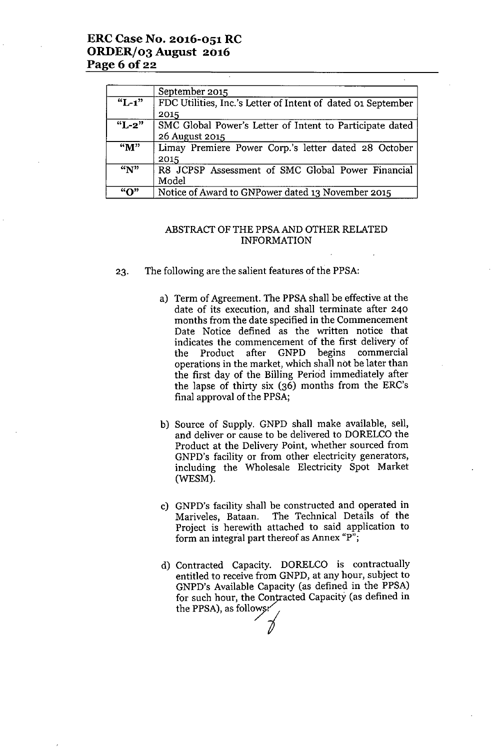## **ERC Case No. 2016-051 :RC ORDERf03 August 2016 Page 6 Of22**

|                        | September 2015                                               |
|------------------------|--------------------------------------------------------------|
| $\overline{K_{L-1}}$ " | FDC Utilities, Inc.'s Letter of Intent of dated 01 September |
|                        | 2015                                                         |
| $"L-2"$                | SMC Global Power's Letter of Intent to Participate dated     |
|                        | 26 August 2015                                               |
| $\overline{M''}$       | Limay Premiere Power Corp.'s letter dated 28 October         |
|                        | 2015                                                         |
| $\overline{N}$         | R8 JCPSP Assessment of SMC Global Power Financial            |
|                        | Model                                                        |
| "∩"                    | Notice of Award to GNPower dated 13 November 2015            |

#### ABSTRACT OF THE PPSA AND OTHER RELATED INFORMATION

- 23. The following are the salient features of the PPSA:
	- a) Term of Agreement. The PPSA shall be effective at the date of its execution, and shall terminate after 240 months from the date specified in the Commencement Date Notice defined as the written notice that indicates the commencement of the first delivery of the Product after GNPD begins commercial operations in the market, which shall not be later than the first day of the Billing Period immediately after the lapse of thirty six (36) months from the ERC's final approval of the PPSA;
	- b) Source of Supply. GNPD shall make available, sell, and deliver or cause to be delivered to DORELCO the Product at the Delivery Point, whether sourced from GNPD's facility or from other electricity generators, including the Wholesale Electricity Spot Market (WESM).
	- c) GNPD's facility shall be constructed and operated in Mariveles, Bataan. The Technical Details of the Project is herewith attached to said application to form an integral part thereof as Annex "p";
	- d) Contracted Capacity. DORELCO is contractually entitled to receive from GNPD, at any hour, subject to GNPD's Available Capacity (as defined in the PPSA) for such hour, the Contracted Capacity (as defined in the PPSA), as follows: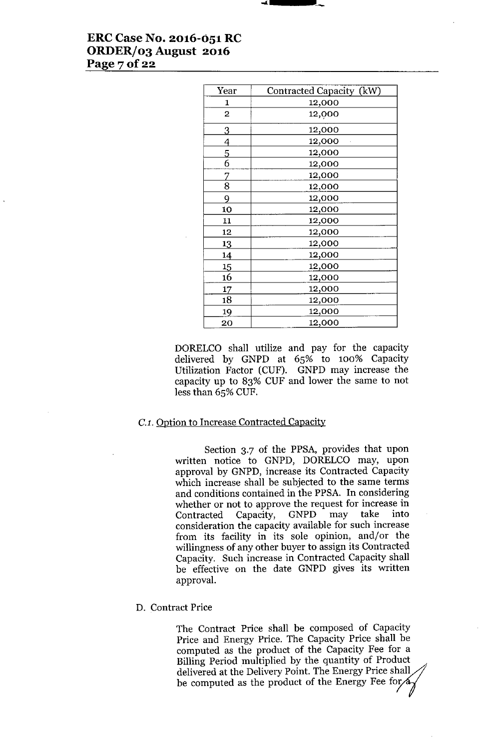# **ERCCase No. 2016-051 RC ORDER/03 August 2016 Page70f22**

| Year         | Contracted Capacity (kW) |
|--------------|--------------------------|
| 1            | 12,000                   |
| $\mathbf{2}$ | 12,000                   |
| 3            | 12,000                   |
| 4            | 12,000                   |
| 5            | 12,000                   |
| 6            | 12,000                   |
| 7            | 12,000                   |
| 8            | 12,000                   |
| 9            | 12,000                   |
| 10           | 12,000                   |
| 11           | 12,000                   |
| 12           | 12,000                   |
| 13           | 12,000                   |
| 14           | 12,000                   |
| 15           | 12,000                   |
| 16           | 12,000                   |
| 17           | 12,000                   |
| 18           | 12,000                   |
| 19           | 12,000                   |
| 20           | 12,000                   |

DORELCO shall utilize and pay for the capacity delivered by GNPD at 65% to 100% Capacity Utilization Factor (CUF). GNPD may increase the capacity up to 83% CUF and lower the same to not less than 65% CUF.

## *C.l.* Option to Increase Contracted Capacity

Section 3.7 of the PPSA, provides that upon written notice to GNPD, DORELCO may, upon approval by GNPD, increase its Contracted Capacity which increase shall be subjected to the same terms and conditions contained in the PPSA. In considering whether or not to approve the request for increase in<br>Contracted Capacity, GNPD may take into Contracted Capacity, consideration the capacity available for such increase from its facility in its sole opinion, and/or the willingness of any other buyer to assign its Contracted Capacity. Such increase in Contracted Capacity shall be effective on the date GNPD gives its written approval.

### D. Contract Price

The Contract Price shall be composed of Capacity Price and Energy Price. The Capacity Price shall be computed as the product of the Capacity Fee for a Billing Period multiplied by the quantity of Product delivered at the Delivery Point. The Energy Price shall be computed as the product of the Energy Fee for<sub>/a</sub>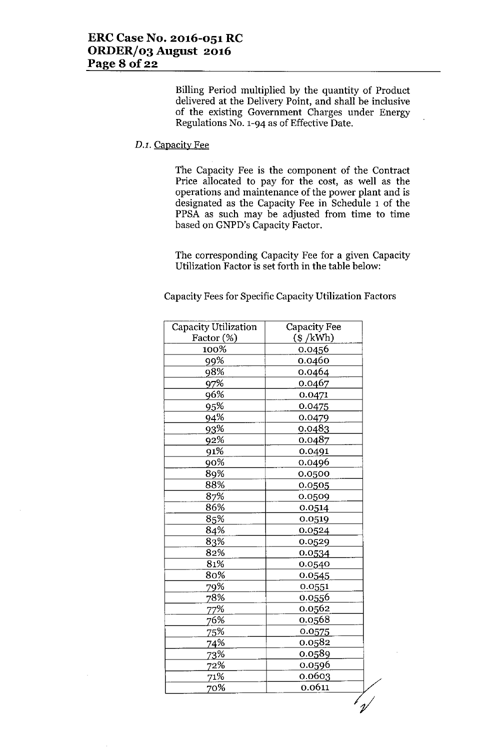Billing Period multiplied by the quantity of Product delivered at the Delivery Point, and shall be inclusive of the existing Government Charges under Energy Regulations No. 1-94 as of Effective Date.

#### *D.l.* Capacity Fee

The Capacity Fee is the component of the Contract Price allocated to pay for the cost, as well as the operations and maintenance of the power plant and is designated as the Capacity Fee in Schedule 1 of the PPSA as such may be adjusted from time to time based on GNPD's Capacity Factor.

The corresponding Capacity Fee for a given Capacity Utilization Factor is set forth in the table below:

Capacity Fees for Specific Capacity Utilization Factors

| Capacity Utilization | <b>Capacity Fee</b> |
|----------------------|---------------------|
| Factor (%)           | $(\$ /kWh)$         |
| 100%                 | 0.0456              |
| 99%                  | 0.0460              |
| 98%                  | 0.0464              |
| 97%                  | 0.0467              |
| 96%                  | 0.0471              |
| 95%                  | 0.0475              |
| 94%                  | 0.0479              |
| 93%                  | 0.0483              |
| 92%                  | 0.0487              |
| 91%                  | 0.0491              |
| 90%                  | 0.0496              |
| 89%                  | 0.0500              |
| 88%                  | 0.0505              |
| 87%                  | 0.0509              |
| 86%                  | 0.0514              |
| 85%                  | 0.0519              |
| 84%                  | 0.0524              |
| 83%                  | 0.0529              |
| 82%                  | 0.0534              |
| 81%                  | 0.0540              |
| 80%                  | 0.0545              |
| 79%                  | 0.0551              |
| 78%                  | 0.0556              |
| 77%                  | 0.0562              |
| 76%                  | 0.0568              |
| 75%                  | 0.0575              |
| 74%                  | 0.0582              |
| <u>73%</u>           | 0.0589              |
| 72%                  | 0.0596              |
| 71%                  | 0.0603              |
| 70%                  | 0.0611              |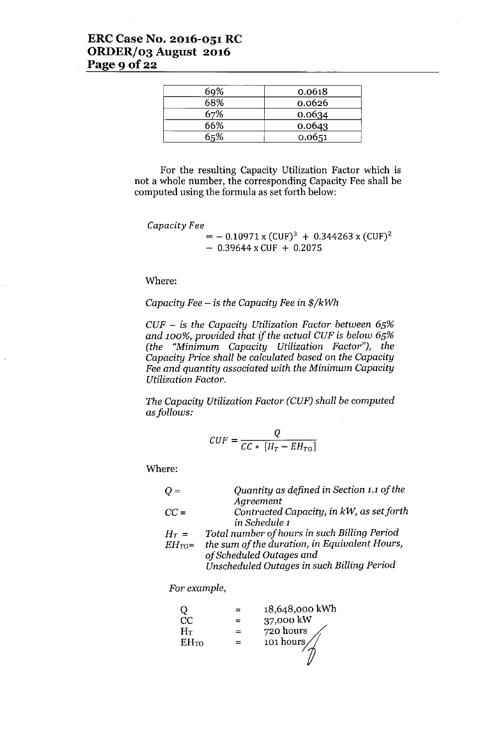## **ERC Case No. 2016-051 RC ORDER/03 August 2016** Page 9 **Of22**

| 69% | 0.0618 |
|-----|--------|
| 68% | 0.0626 |
| 67% | 0.0634 |
| 66% | 0.0643 |
| 65% | 0.0651 |

For the resulting Capacity Utilization Factor which is not a whole number, the corresponding Capacity Fee shall be computed using the formula as set forth below:

#### *Capacity Fee*

 $=$  - 0.10971 x (CUF)<sup>3</sup> + 0.344263 x (CUF)<sup>2</sup>  $-$  0.39644 x CUF + 0.2075

Where:

#### *Capacity Fee -* is *the Capacity Fee* in *\$/kWh*

*CUF -* is *the Capacity Utilization Factor behveen 65% and 100%, provided that if the actual CUF* is *below 65% (the "Minimum Capacity Utilization Factor"), the Capacity* Price *shall be calculated based on the Capacity Fee and quantity associated with the Minimum Capacity Utilization Factor.*

*The Capacity Utilization Factor (CUF) shall be computed asfollows:*

$$
CUF = \frac{Q}{CC * [H_T - EH_{TO}]}
$$

Where:

| $Q =$      | Quantity as defined in Section 1.1 of the     |
|------------|-----------------------------------------------|
|            | Agreement                                     |
| $CC =$     | Contracted Capacity, in kW, as set forth      |
|            | in Schedule 1                                 |
| $H_T =$    | Total number of hours in such Billing Period  |
| $EH_{TO}=$ | the sum of the duration, in Equivalent Hours, |
|            | of Scheduled Outages and                      |
|            | Unscheduled Outages in such Billing Period    |

*For example,*

|             | 18,648,000 kWh |
|-------------|----------------|
| CC          | 37,000 kW      |
| $H_T$       | 720 hours      |
| <b>EHTO</b> | 101 hours      |
|             |                |
|             |                |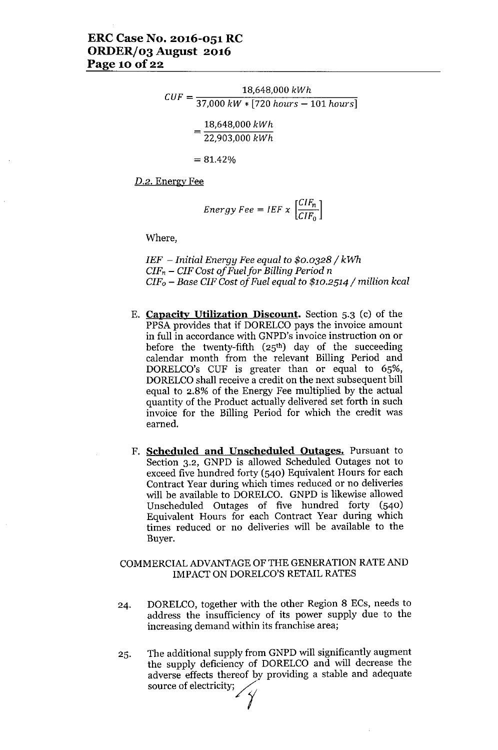$$
CUF = \frac{18,648,000 \; kWh}{37,000 \; kW * [720 \; hours - 101 \; hours]}
$$

$$
= \frac{18,648,000 \; kWh}{22,903,000 \; kWh}
$$

 $= 81.42%$ 

*D.2.* Energy Fee

$$
Energy\,Fee = IEF \times \left[\frac{CIF_n}{CIF_0}\right]
$$

Where,

*IEF - Initial Energy Fee equal to \$0.0328/ kWh CIF<sup>n</sup> - CIF Cost of Fuel for Billing Period n CIFo - Base CIF Cost of Fuel equal to \$10.2514/ million kcal*

- E. **Capacity Utilization Discount.** Section 5.3 (c) of the PPSA provides that if DORELCO pays the invoice amount in full in accordance with GNPD's invoice instruction on or before the twenty-fifth  $(25<sup>th</sup>)$  day of the succeeding calendar month from the relevant Billing Period and DORELCO's CUF is greater than or equal to 65%, DORELCO shall receive a credit on the next subsequent bill equal to 2.8% of the Energy Fee multiplied by the actual quantity of the Product actually delivered set forth in such invoice for the Billing Period for which the credit was earned.
- F. **Scheduled and Unscheduled Outages.** Pursuant to Section 3.2, GNPD is allowed Scheduled Outages not to exceed five hundred forty (540) Equivalent Hours for each Contract Year during which times reduced or no deliveries will be available to DORELCO. GNPD is likewise allowed Unscheduled Outages of five hundred forty (540) Equivalent Hours for each Contract Year during which times reduced or no deliveries will be available to the Buyer.

#### COMMERCIALADVANTAGEOF THE GENERATION RATEAND IMPACT ON DORELCO'S RETAIL RATES

- 24. DORELCO, together with the other Region 8 ECs, needs to address the insufficiency of its power supply due to the increasing demand within its franchise area;
- 25. The additional supply from GNPD will significantly augment the supply deficiency of DORELCO and will decrease the adverse effects thereof by providing a stable and adequate mereasing demand within its in<br>The additional supply from GN<br>the supply deficiency of DOF<br>adverse effects thereof by pro<br>source of electricity;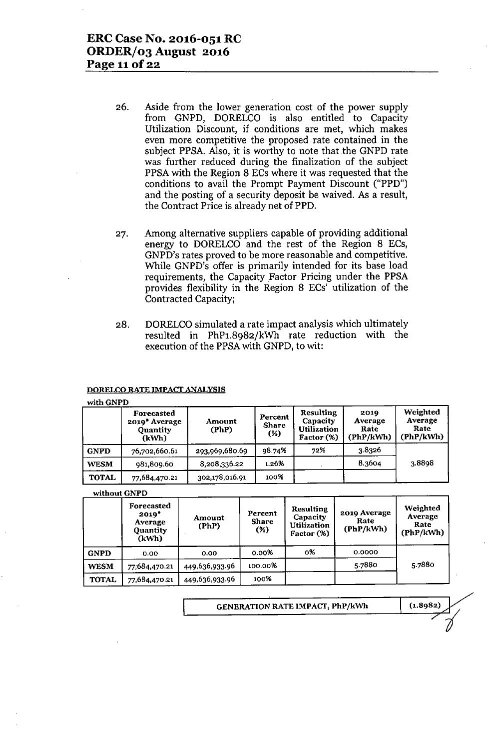- 26. Aside from the lower generation cost of the power supply from GNPD, DORELCO is also entitled to Capacity Utilization Discount, if conditions are met, which makes even more competitive the proposed rate contained in the subject PPSA. Also, it is worthy to note that the GNPD rate was further reduced during the finalization of the subject PPSA with the Region 8 ECs where it was requested that the conditions to avail the Prompt Payment Discount ("PPD") and the posting of a security deposit be waived. As a result, the Contract Price is already net of PPD.
- 27. Among alternative suppliers capable of providing additional energy to DORELCO and the rest of the Region 8 ECs, GNPD's rates proved to be more reasonable and competitive. While GNPD's offer is primarily intended for its base load requirements, the Capacity Factor Pricing under the PPSA provides flexibility in the Region 8 ECs' utilization of the Contracted Capacity;
- 28. DORELCO simulated a rate impact analysis which ultimately resulted in PhPl.8982/kWh rate reduction with the execution of the PPSA with GNPD, to wit:

#### DORELCO RATE IMPACT ANALYSIS

#### with GNPD

|              | Forecasted<br>2019 Average<br><b>Quantity</b><br>(kWh) | Amount<br>(PhP) | Percent<br><b>Share</b><br>$(\%)$ | Resulting<br><b>Capacity</b><br>Utilization<br>Factor (%) | 2019<br>Average<br>Rate<br>(PhP/kWh) | Weighted<br>Average<br>Rate<br>(PhP/kWh) |
|--------------|--------------------------------------------------------|-----------------|-----------------------------------|-----------------------------------------------------------|--------------------------------------|------------------------------------------|
| <b>GNPD</b>  | 76.702.660.61                                          | 293,969,680.69  | 98.74%                            | 72%                                                       | 3.8326                               |                                          |
| <b>WESM</b>  | 981,809.60                                             | 8,208,336.22    | 1.26%                             |                                                           | 8.3604                               | 3.8898                                   |
| <b>TOTAL</b> | 77,684,470.21                                          | 302,178,016.91  | 100%                              |                                                           |                                      |                                          |

#### without GNPD

|              | Forecasted<br>$2019*$<br>Average<br><b>Quantity</b><br>(kWh) | Amount<br>(PhP) | Percent<br><b>Share</b><br>$(\%)$ | <b>Resulting</b><br>Capacity<br><b>Utilization</b><br>Factor (%) | 2019 Average<br>Rate<br>(PhP/kWh) | Weighted<br>Average<br>Rate<br>(PhP/kWh) |  |
|--------------|--------------------------------------------------------------|-----------------|-----------------------------------|------------------------------------------------------------------|-----------------------------------|------------------------------------------|--|
| <b>GNPD</b>  | 0.00                                                         | 0.00            | 0.00%                             | о%                                                               | 0.0000                            |                                          |  |
| <b>WESM</b>  | 77,684,470.21                                                | 449,636,933.96  | 100.00%                           |                                                                  | 5.7880                            | 5.7880                                   |  |
| <b>TOTAL</b> | 77,684,470.21                                                | 449,636,933.96  | 100%                              |                                                                  |                                   |                                          |  |

'------- GENERATION RATE IMPACT, PhP/kWh (1.8982)

7~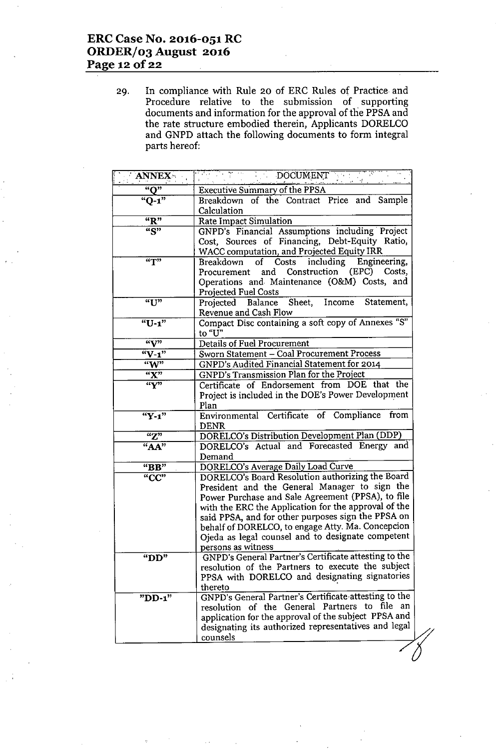## **ERC Case No. 2016-051 RC ORDER/03 August 2016 Page 12 Of22**

29. In compliance with Rule 20 of ERC Rules of Practice and Procedure relative to the submission of supporting documents and information for the approval of the PPSA and the rate structure embodied therein, Appiicants DORELCO and GNPD attach the following documents to form integral parts hereof:

| <b>ANNEX</b>                       | DOCUMENT<br>$\mathcal{L}(\mathcal{F})$                                                                 |
|------------------------------------|--------------------------------------------------------------------------------------------------------|
| "O"                                | <b>Executive Summary of the PPSA</b>                                                                   |
| $"Q-1"$                            | Breakdown of the Contract Price and Sample                                                             |
|                                    | Calculation                                                                                            |
| $\overline{R}$                     | <b>Rate Impact Simulation</b>                                                                          |
| $\overline{``S"}$                  | GNPD's Financial Assumptions including Project                                                         |
|                                    | Cost, Sources of Financing, Debt-Equity Ratio,                                                         |
|                                    | WACC computation, and Projected Equity IRR                                                             |
| T                                  | including<br>of Costs<br>Engineering,<br>Breakdown                                                     |
|                                    | Procurement and Construction (EPC) Costs,                                                              |
|                                    | Operations and Maintenance (O&M) Costs, and                                                            |
|                                    | <b>Projected Fuel Costs</b>                                                                            |
| "U"                                | Projected Balance Sheet, Income Statement,                                                             |
|                                    | <b>Revenue and Cash Flow</b>                                                                           |
| "U-1"                              | Compact Disc containing a soft copy of Annexes "S"                                                     |
|                                    | to "U"                                                                                                 |
| $\mathcal{C}(\mathbf{V}^{\prime})$ | Details of Fuel Procurement                                                                            |
| $W-1"$<br>W                        | Sworn Statement - Coal Procurement Process                                                             |
|                                    | GNPD's Audited Financial Statement for 2014<br><b>GNPD's Transmission Plan for the Project</b>         |
| "X"<br>``Y"                        | Certificate of Endorsement from DOE that the                                                           |
|                                    | Project is included in the DOE's Power Development                                                     |
|                                    | Plan                                                                                                   |
| $"Y-1"$                            | Environmental Certificate of Compliance<br>from                                                        |
|                                    | <b>DENR</b>                                                                                            |
| "Z"                                | DORELCO's Distribution Development Plan (DDP)                                                          |
| "AA"                               | DORELCO's Actual and Forecasted Energy and                                                             |
|                                    | Demand                                                                                                 |
| "BB"                               | DORELCO's Average Daily Load Curve                                                                     |
| "CC"                               | DORELCO's Board Resolution authorizing the Board                                                       |
|                                    | President and the General Manager to sign the                                                          |
|                                    | Power Purchase and Sale Agreement (PPSA), to file                                                      |
|                                    | with the ERC the Application for the approval of the                                                   |
|                                    | said PPSA, and for other purposes sign the PPSA on                                                     |
|                                    | behalf of DORELCO, to engage Atty. Ma. Concepcion<br>Ojeda as legal counsel and to designate competent |
|                                    | persons as witness                                                                                     |
| " $DD"$                            | GNPD's General Partner's Certificate attesting to the                                                  |
|                                    | resolution of the Partners to execute the subject                                                      |
|                                    | PPSA with DORELCO and designating signatories                                                          |
|                                    | thereto                                                                                                |
| " $DD-1$ "                         | GNPD's General Partner's Certificate attesting to the                                                  |
|                                    | resolution of the General Partners to file<br>an                                                       |
|                                    | application for the approval of the subject PPSA and                                                   |
|                                    | designating its authorized representatives and legal                                                   |
|                                    | counsels                                                                                               |
|                                    |                                                                                                        |
|                                    |                                                                                                        |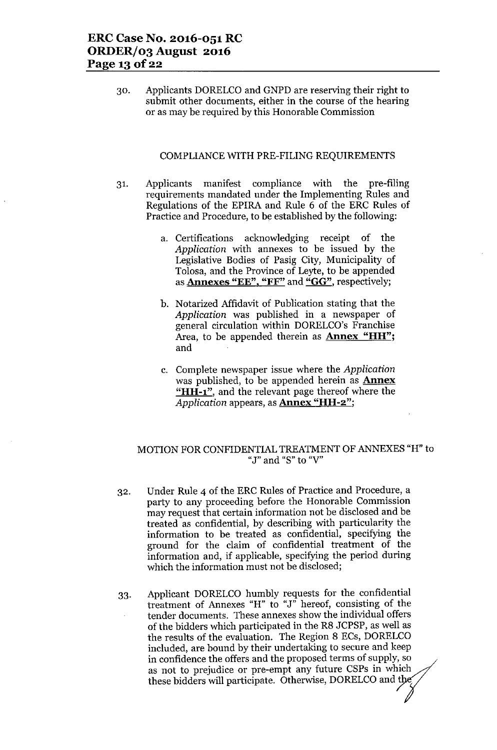30. Applicants DORELCO and GNPD are reserving their right to submit other documents, either in the course of the hearing or as may be required by this Honorable Commission

#### COMPLIANCE WITH PRE-FILING REQUIREMENTS

- 31. Applicants manifest compliance with the pre-filing requirements mandated under the Implementing Rules and Regulations of the EPIRA and Rule 6 of the ERC Rules of Practice and Procedure, to be established by the following:
	- a. Certifications acknowledging receipt of the *Application* with annexes to be issued by the Legislative Bodies of Pasig City, Municipality of Tolosa, and the Province of Leyte, to be appended as **Annexes "EE", "FF"** and "GG", respectively;
	- b. Notarized Affidavit of Publication stating that the *Application* was published in a newspaper of general circulation within DORELCO's Franchise Area, to be appended therein as **Annex "HH"**; and
	- c. Complete newspaper issue where the *Application* was published, to be appended herein as **Annex** "HH-1", and the relevant page thereof where the *Application* appears, as **Annex "HH-2"**;

## MOTION FOR CONFIDENTIAL TREATMENT OF ANNEXES "H" to "J" **and** "S" **to** "V"

- 32. Under Rule 4 of the ERC Rules of Practice and Procedure, a party to any proceeding before the Honorable Commission may request that certain information not be disclosed and be treated as confidential, by describing with particularity the information to be treated as confidential, specifying the ground for the claim of confidential treatment of the information and, if applicable, specifying the period during which the information must not be disclosed;
- 33. Applicant DORELCO humbly requests for the confidential treatment of Annexes "H" to "J" hereof, consisting of the tender documents. These annexes show the individual offers of the bidders which participated in the R8 JCPSP, as well as the results of the evaluation. The Region 8 ECs, DORELCO included, are bound by their undertaking to secure and keep in confidence the offers and the proposed terms of supply, so as not to prejudice or pre-empt any future CSPs in which these bidders will participate. Otherwise, DORELCO and the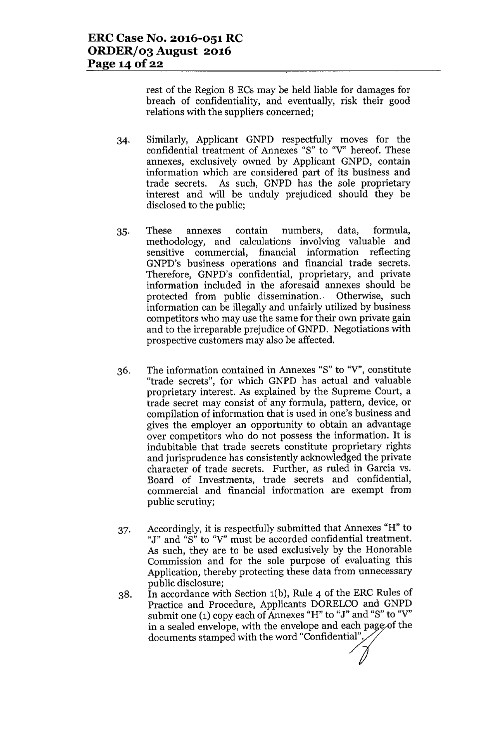rest of the Region 8 ECs may be held liable for damages for breach of confidentiality, and eventually, risk their good relations with the suppliers concerned;

- 34. Similarly, Applicant GNPD respectfully moves for the confidential treatment of Annexes "S" to "Y" hereof. These annexes, exclusively owned by Applicant GNPD, contain information which are considered part of its business and trade secrets. As such, GNPD has the sole proprietary interest and will be unduly prejudiced should they be disclosed to the public;
- 35. These annexes contain numbers, data, formula, methodology, and calculations involving valuable and sensitive commercial, financial information reflecting GNPD's business operations and financial trade secrets. Therefore, GNPD's confidential, proprietary, and private information included in the aforesaid annexes should be protected from public dissemination.. Otherwise, such information can be illegally and unfairly utilized by business competitors who may use the same for their own private gain and to the irreparable prejudice of GNPD. Negotiations with prospective customers may also be affected.
- 36. The information contained in Annexes "S" to "Y", constitute "trade secrets", for which GNPD has actual and valuable proprietary interest. As explained by the Supreme Court, a trade secret may consist of any formula, pattern, device, or compilation of information that is used in one's business and gives the employer an opportunity to obtain an advantage over competitors who do not possess the information. It is indubitable that trade secrets constitute proprietary rights and jurisprudence has consistently acknowledged the private character of trade secrets. Further, as ruled in Garcia vs. Board of Investments, trade secrets and confidential, commercial and financial information are exempt from public scrutiny;
- 37. Accordingly, it is respectfully submitted that Annexes "H" to "J" and "S" to "Y" must be accorded confidential treatment. As such, they are to be used exclusively by the Honorable Commission and for the sole purpose of evaluating this Application, thereby protecting these data from unnecessary public disclosure;
- 38. In accordance with Section 1(b), Rule 4 of the ERC Rules of Practice and Procedure, Applicants DORELCO and GNPD submit one  $(1)$  copy each of Annexes "H" to "J" and "S" to "V" in a sealed envelope, with the envelope and each page of the documents stamped with the word "Confidential",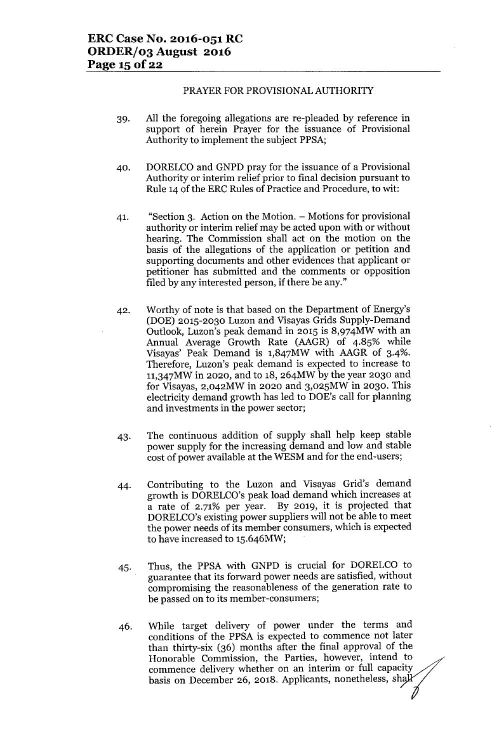#### PRAYER FOR PROVISIONAL AUTHORITY

- 39. All the foregoing allegations are re-pleaded by reference in support of herein Prayer for the issuance of Provisional Authority to implement the subject PPSA;
- 40. DORELCO and GNPD pray for the issuance of a Provisional Authority or interim relief prior to final decision pursuant to Rule 14 of the ERC Rules of Practice and Procedure, to wit:
- 41. "Section 3. Action on the Motion. Motions for provisional authority or interim relief may be acted upon with or without hearing. The Commission shall act on the motion on the basis of the allegations of the application or petition and supporting documents and other evidences that applicant or petitioner has submitted and the comments or opposition filed by any interested person, if there be any."
- 42. Worthy of note is that based on the Department of Energy's (DOE) 2015-2030 Luzon and Visayas Grids Supply-Demand Outlook, Luzon's peak demand in 2015 is 8,974MW with an Annual Average Growth Rate (AAGR) of 4.85% while Visayas' Peak Demand is 1,847MW with AAGR of 3-4%. Therefore, Luzon's peak demand is expected to increase to 1l,347MW in 2020, and to 18, 264MW by the year 2030 and for Visayas, 2,042MW in 2020 and 3,025MW in 2030. This electricity demand growth has led to DOE's call for planning and investments in the power sector;
- 43. The continuous addition of supply shall help keep stable power supply for the increasing demand and low and stable cost of power available at the WESM and for the end-users;
- 44. Contributing to the Luzon and Visayas Grid's demand growth is DORELCO's peak load demand which increases at a rate of 2.71% per year. By 2019, it is projected that DORELCO's existing power suppliers will not be able to meet the power needs of its member consumers, which is expected to have increased to 15.646MW;
- 45. Thus, the PPSA with GNPD is crucial for DORELCO to guarantee that its forward power needs are satisfied, without compromising the reasonableness of the generation rate to be passed on to its member-consumers;
- 46. While target delivery of power under the terms and conditions of the PPSA is expected to commence not later than thirty-six (36) months after the final approval of the Honorable Commission, the Parties, however, intend to commence delivery whether on an interim or full capacity basis on December 26, 2018. Applicants, nonetheless, sh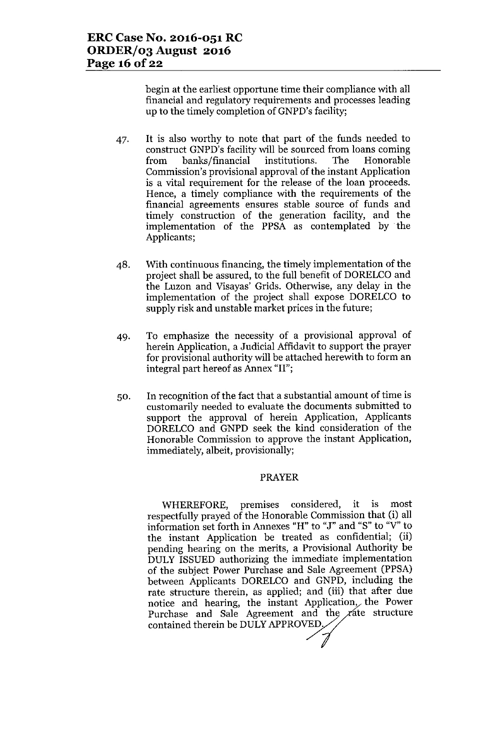begin at the earliest opportune time their compliance with all financial and regulatory requirements and processes leading up to the timely completion of GNPD's facility;

- 47. It is also worthy to note that part of the funds needed to construct GNPD's facility will be sourced from loans coming from banks/financial institutions. The Honorable Commission's provisional approval of the instant Application is a vital requirement for the release of the loan proceeds. Hence, a timely compliance with the requirements of the financial agreements ensures stable source of funds and timely construction of the generation facility, and the implementation of the PPSA as contemplated by the Applicants;
- 48. With continuous financing, the timely implementation of the project shall be assured, to the full benefit of DORELCO and the Luzon and Yisayas' Grids. Otherwise, any delay in the implementation of the project shall expose DORELCO to supply risk and unstable market prices in the future;
- 49. To emphasize the necessity of a provisional approval of herein Application, a Judicial Affidavit to support the prayer for provisional authority will be attached herewith to form an integral part hereof as Annex "II";
- 50. In recognition of the fact that a substantial amount of time is customarily needed to evaluate the documents submitted to support the approval of herein Application, Applicants DORELCO and GNPD seek the kind consideration of the Honorable Commission to approve the instant Application, immediately, albeit, provisionally;

### PRAYER

WHEREFORE, premises considered, it is most respectfully prayed of the Honorable Commission that (i) all information set forth in Annexes "H" to "J" and "S" to "Y"to the instant Application be treated as confidential; (ii) pending hearing on the merits, a Provisional Authority be DULY ISSUED authorizing the immediate implementation of the subject Power Purchase and Sale Agreement (PPSA) between Applicants DORELCO and GNPD, including the rate structure therein, as applied; and (iii) that after due notice and hearing, the instant Application, the Power Purchase and Sale Agreement and the  $\chi$  ate structure contained therein be DULY APPROVED,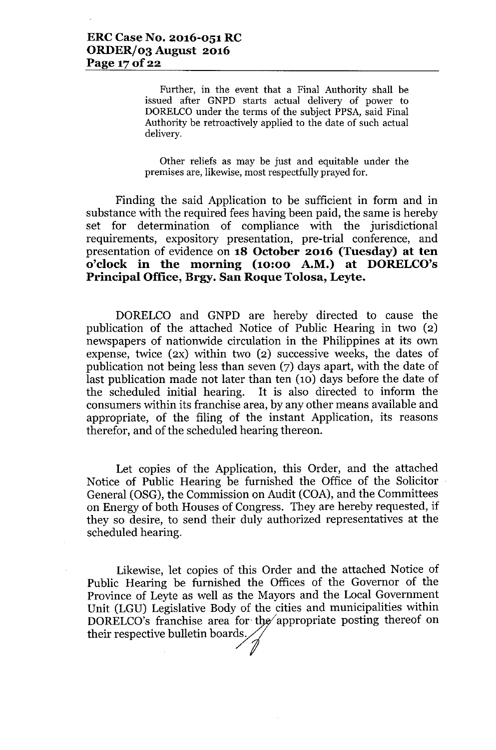Further, in the event that a Final Authority shall be issued after GNPD starts actual delivery of power to DORELCO under the terms of the subject PPSA, said Final Authority be retroactively applied to the date of such actual delivery.

Other reliefs as may be just and equitable under the premises are, likewise, most respectfully prayed for.

Finding the said Application to be sufficient in form and in substance with the required fees having been paid, the same is hereby set for determination of compliance with the jurisdictional requirements, expository presentation, pre-trial conference, and presentation of evidence on **18 October 2016 (Tuesday) at ten o'clock in the morning (10:00 A.M.) at DORELCO's Principal Office, Brgy. San Roque Tolosa, Leyte.**

DORELCO and GNPD are hereby directed to cause the publication of the attached Notice of Public Hearing in two (2) newspapers of nationwide circulation in the Philippines at its own expense, twice (2X) within two (2) successive weeks, the dates of publication not being less than seven (7) days apart, with the date of last publication made not later than ten (10) days before the date of the scheduled initial hearing. It is also directed to inform the consumers within its franchise area, by any other means available and appropriate, of the filing of the instant Application, its reasons therefor, and of the scheduled hearing thereon.

Let copies of the Application, this Order, and the attached Notice of Public Hearing be furnished the Office of the Solicitor General (OSG), the Commission on Audit (COA), and the Committees on Energy of both Houses of Congress. They are hereby requested, if they so desire, to send their duly authorized representatives at the scheduled hearing.

Likewise, let copies of this Order and the attached Notice of Public Hearing be furnished the Offices of the Governor of the Province of Leyte as well as the Mayors and the Local Government Unit (LGU) Legislative Body of the cities and municipalities within DORELCO's franchise area for the appropriate posting thereof on Unit (LGU) Legislative Body of the<br>DORELCO's franchise area for the<br>their respective bulletin boards.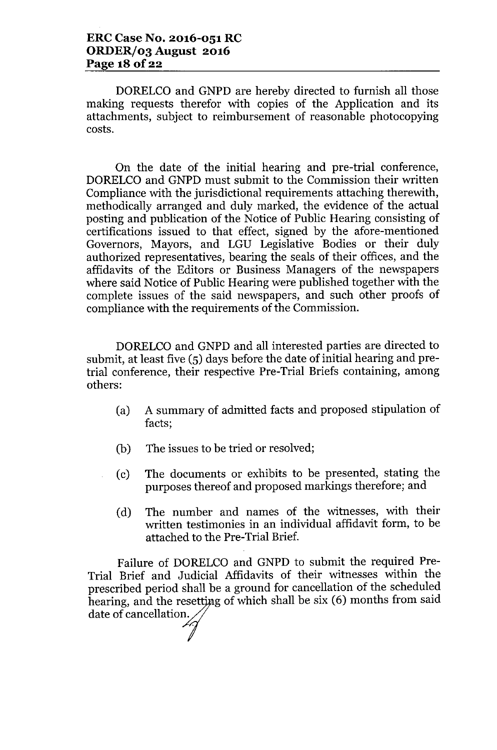DORELCO and GNPD are hereby directed to furnish all those making requests therefor with copies of the Application and its attachments, subject to reimbursement of reasonable photocopying costs.

On the date of the initial hearing and pre-trial conference, DORELCO and GNPD must submit to the Commission their written Compliance with the jurisdictional requirements attaching therewith, methodically arranged and duly marked, the evidence of the actual posting and publication of the Notice of Public Hearing consisting of certifications issued to that effect, signed by the afore-mentioned Governors, Mayors, and LGU Legislative Bodies or their duly authorized representatives, bearing the seals of their offices, and the affidavits of the Editors or Business Managers of the newspapers where said Notice of Public Hearing were published together with the complete issues of the said newspapers, and such other proofs of compliance with the requirements of the Commission.

DORELCO and GNPD and all interested parties are directed to submit, at least five (5) days before the date of initial hearing and pretrial conference, their respective Pre-Trial Briefs containing, among others:

- (a) A summary of admitted facts and proposed stipulation of facts;
- (b) The issues to be tried or resolved;
- (c) The documents or exhibits to be presented, stating the purposes thereof and proposed markings therefore; and
- (d) The number and names of the witnesses, with their written testimonies in an individual affidavit form, to be attached to the Pre-Trial Brief.

Failure of DORELCO and GNPD to submit the required Pre-Trial Brief and Judicial Affidavits of their witnesses within the prescribed period shall be a ground for cancellation of the scheduled hearing, and the resetting of which shall be six (6) months from said date of cancellation.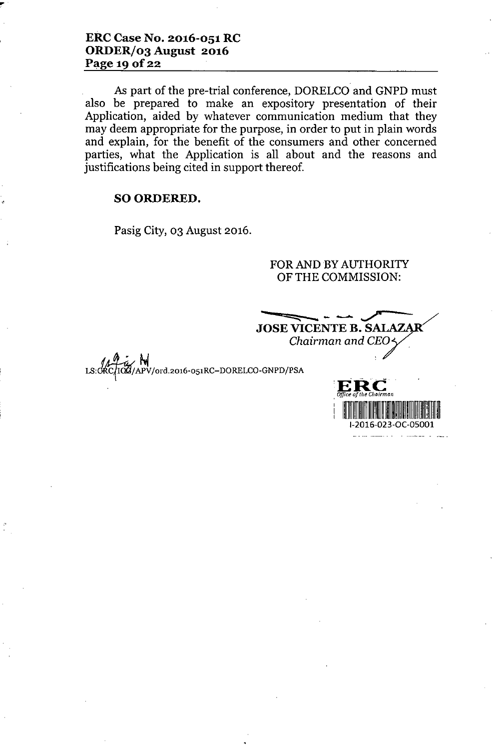## **ERC Case No. 2016-051 RC ORDER/03 August 2016** Page 19 **Of22**

As part of the pre-trial conference, DORELCO and GNPD must also be prepared to make an expository presentation of their Application, aided by whatever communication medium that they may deem appropriate for the purpose, in order to put in plain words and explain, for the benefit of the consumers and other concerned parties, what the Application is all about and the reasons and justifications being cited in support thereof.

## SO ORDERED.

*lA~r.:./* hi

Pasig City, 03 August 2016.

## FOR AND BY AUTHORITY OF THE COMMISSION:

LS:CRC/ICG/APV/ord.2016-051RC-DORELCO-GNPD/PS  $\overline{\phantom{iiiiiiiiiiiiiiiiiiiiiiiiiiiiiiii}}$ **JOSE VICENTE B. S** *Chairman and CEO*

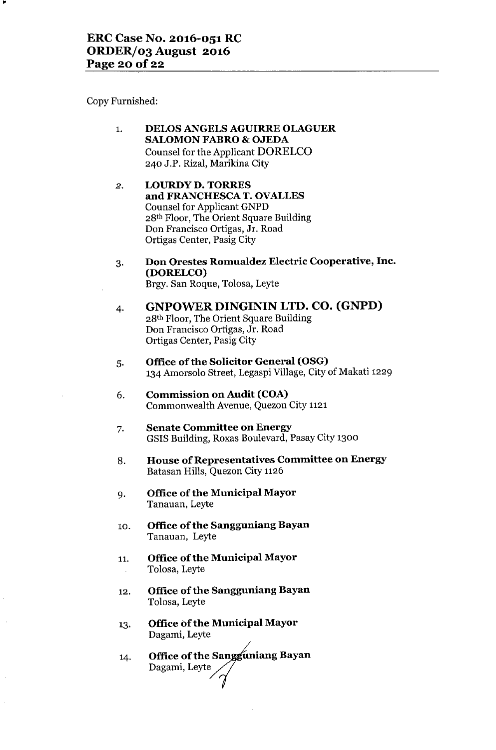Copy Furnished:

- 1. **DELOS ANGELS AGUIRRE OLAGUER SALOMON FABRO & OJEDA** Counsel for the Applicant **DORELCO** 240 J.P. Rizal, Marikina City
- 2. **LOURDY D. TORRES and FRANCHESCA T. OVALLES** Counsel for Applicant GNPD 28th Floor, The Orient Square Building Don Francisco Ortigas, Jr. Road Ortigas Center, Pasig City
- 3. **Don Orestes Romualdez Electric Cooperative, Inc. (DORELCO)** Brgy. San Roque, Tolosa, Leyte
- 4. **GNPOWER DINGININ LTD. CO. (GNPD)** 28th Floor, The Orient Square Building Don Francisco Ortigas, Jr. Road Ortigas Center, Pasig City
- 5. **Office** of the **Solicitor General (OSG)** 134 Amorsolo Street, Legaspi Village, City of Makati 1229
- 6. **Commission on Audit (COA)** Commonwealth Avenue, Quezon City 1121
- 7. **Senate Committee on Energy** GSIS Building, Roxas Boulevard, Pasay City 1300
- 8. **House of Representatives Committee on Energy** Batasan Hills, Quezon City 1126
- 9. **Office ofthe Municipal Mayor** Tanauan, Leyte
- 10. **Office** of the **Sangguniang Bayan** Tanauan, Leyte
- 11. **Office** of the **Municipal Mayor** Tolosa, Leyte
- 12. **Office of the Sangguniang Bayan** Tolosa, Leyte
- 13. **Office** of the **Municipal Mayor** Dagami, Leyte
- 14. **Office** of the Sangguniang Bayan Dagami, Leyte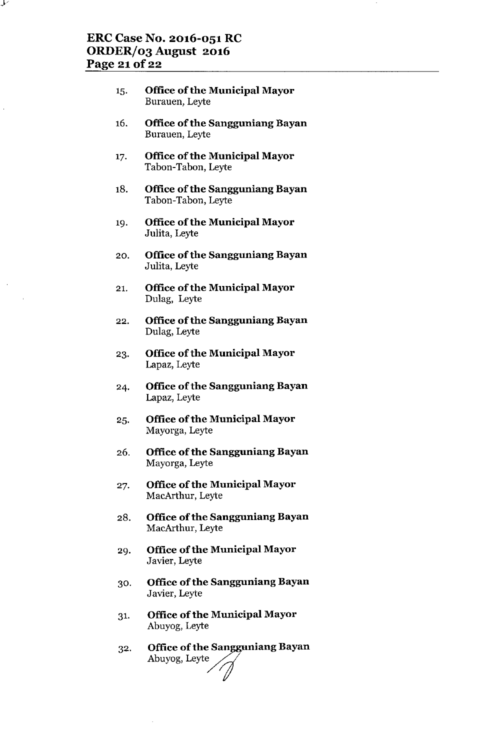ر ما

- 15. **Office** of the **Municipal Mayor** Burauen, Leyte
- 16. **Office** of the **Sangguniang Bayan** Burauen, Leyte
- 17. **Office** of the **Municipal Mayor** Tabon-Tabon, Leyte
- 18. **Office of the Sangguniang Bayan** Tabon-Tabon, Leyte
- 19. **Office ofthe Municipal Mayor** Julita, Leyte
- 20. **Office of the Sangguniang Bayan** Julita, Leyte
- 21. **Office** of the **Municipal Mayor** Dulag, Leyte
- 22. **Office** of the **Sangguniang Bayan** Dulag, Leyte
- 23. **Office** of the **Municipal Mayor** Lapaz, Leyte
- 24. **Office of the Sangguniang Bayan** Lapaz, Leyte
- 25. **Office** of the **Municipal Mayor** Mayorga, Leyte
- 26. **Office of the Sangguniang Bayan** Mayorga, Leyte
- 27. **Office** of the **Municipal Mayor** MacArthur, Leyte
- 28. **Office ofthe Sangguniang Bayan** MacArthur, Leyte
- 29. **Office** of the **Municipal Mayor** Javier, Leyte
- 30. **Office** of the **Sangguniang Bayan** Javier, Leyte
- 31. **Office** of the **Municipal Mayor** Abuyog, Leyte
- 32. Office of the Sangguniang Bayan<br>Abuyog, Leyte